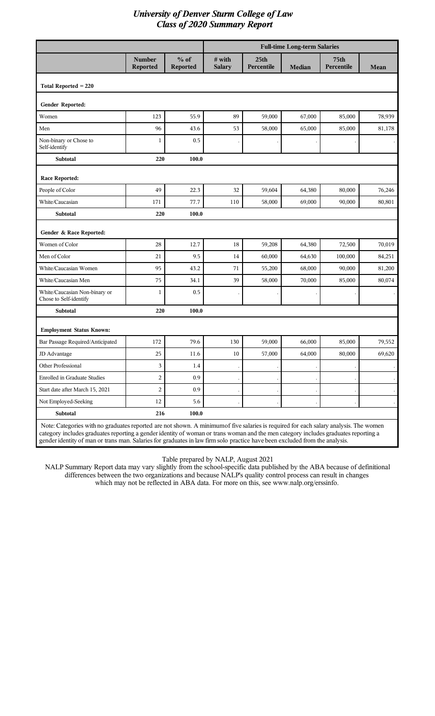|                                                         |                                  |                    | <b>Full-time Long-term Salaries</b> |                                |               |                           |             |  |
|---------------------------------------------------------|----------------------------------|--------------------|-------------------------------------|--------------------------------|---------------|---------------------------|-------------|--|
|                                                         | <b>Number</b><br><b>Reported</b> | $%$ of<br>Reported | # with<br><b>Salary</b>             | 25 <sub>th</sub><br>Percentile | <b>Median</b> | <b>75th</b><br>Percentile | <b>Mean</b> |  |
| Total Reported $= 220$                                  |                                  |                    |                                     |                                |               |                           |             |  |
| Gender Reported:                                        |                                  |                    |                                     |                                |               |                           |             |  |
| Women                                                   | 123                              | 55.9               | 89                                  | 59,000                         | 67,000        | 85,000                    | 78,939      |  |
| Men                                                     | 96                               | 43.6               | 53                                  | 58,000                         | 65,000        | 85,000                    | 81,178      |  |
| Non-binary or Chose to<br>Self-identify                 | 1                                | 0.5                |                                     |                                |               |                           |             |  |
| <b>Subtotal</b>                                         | 220                              | 100.0              |                                     |                                |               |                           |             |  |
| <b>Race Reported:</b>                                   |                                  |                    |                                     |                                |               |                           |             |  |
| People of Color                                         | 49                               | 22.3               | 32                                  | 59,604                         | 64,380        | 80,000                    | 76,246      |  |
| White/Caucasian                                         | 171                              | 77.7               | 110                                 | 58,000                         | 69,000        | 90,000                    | 80,801      |  |
| Subtotal                                                | 220                              | 100.0              |                                     |                                |               |                           |             |  |
| Gender & Race Reported:                                 |                                  |                    |                                     |                                |               |                           |             |  |
| Women of Color                                          | 28                               | 12.7               | 18                                  | 59,208                         | 64,380        | 72,500                    | 70,019      |  |
| Men of Color                                            | 21                               | 9.5                | 14                                  | 60,000                         | 64,630        | 100,000                   | 84,251      |  |
| White/Caucasian Women                                   | 95                               | 43.2               | 71                                  | 55,200                         | 68,000        | 90,000                    | 81,200      |  |
| White/Caucasian Men                                     | 75                               | 34.1               | 39                                  | 58,000                         | 70,000        | 85,000                    | 80,074      |  |
| White/Caucasian Non-binary or<br>Chose to Self-identify | 1                                | 0.5                |                                     |                                |               |                           |             |  |
| Subtotal                                                | 220                              | 100.0              |                                     |                                |               |                           |             |  |
| <b>Employment Status Known:</b>                         |                                  |                    |                                     |                                |               |                           |             |  |
| Bar Passage Required/Anticipated                        | 172                              | 79.6               | 130                                 | 59,000                         | 66,000        | 85,000                    | 79,552      |  |
| JD Advantage                                            | 25                               | $11.6\,$           | $10\,$                              | 57,000                         | 64,000        | 80,000                    | 69,620      |  |
| Other Professional                                      | 3                                | 1.4                |                                     |                                |               |                           |             |  |
| <b>Enrolled in Graduate Studies</b>                     | $\overline{c}$                   | 0.9                |                                     |                                |               |                           |             |  |
| Start date after March 15, 2021                         | $\overline{c}$                   | 0.9                |                                     |                                |               |                           |             |  |
| Not Employed-Seeking                                    | 12                               | 5.6                |                                     |                                |               |                           |             |  |
| Subtotal                                                | 216                              | 100.0              |                                     |                                |               |                           |             |  |

category includes graduates reporting a gender identity of woman or trans woman and the men category includes graduates reporting a gender identity of man or trans man. Salaries for graduates in law firm solo practice have been excluded from the analysis.

Table prepared by NALP, August 2021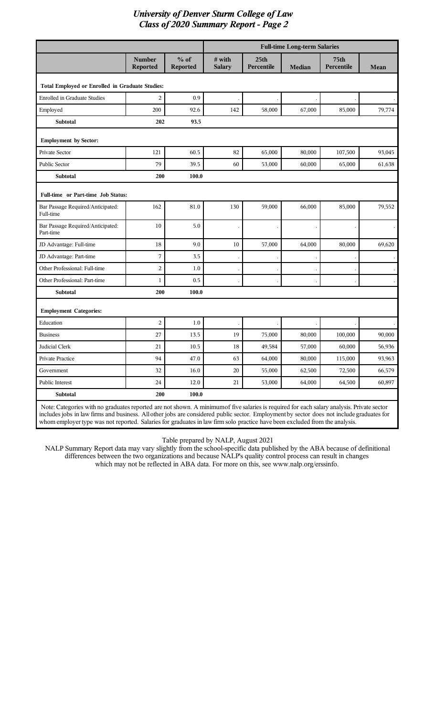|                                                                                                                                           |                           |                           |                         |                                | <b>Full-time Long-term Salaries</b> |                                |        |
|-------------------------------------------------------------------------------------------------------------------------------------------|---------------------------|---------------------------|-------------------------|--------------------------------|-------------------------------------|--------------------------------|--------|
|                                                                                                                                           | Number<br><b>Reported</b> | $%$ of<br><b>Reported</b> | # with<br><b>Salary</b> | 25 <sub>th</sub><br>Percentile | <b>Median</b>                       | 75 <sub>th</sub><br>Percentile | Mean   |
| Total Employed or Enrolled in Graduate Studies:                                                                                           |                           |                           |                         |                                |                                     |                                |        |
| <b>Enrolled in Graduate Studies</b>                                                                                                       | $\overline{c}$            | 0.9                       |                         |                                |                                     |                                |        |
| Employed                                                                                                                                  | 200                       | 92.6                      | 142                     | 58,000                         | 67,000                              | 85,000                         | 79,774 |
| <b>Subtotal</b>                                                                                                                           | 202                       | 93.5                      |                         |                                |                                     |                                |        |
| <b>Employment by Sector:</b>                                                                                                              |                           |                           |                         |                                |                                     |                                |        |
| Private Sector                                                                                                                            | 121                       | 60.5                      | 82                      | 65,000                         | 80,000                              | 107,500                        | 93,045 |
| Public Sector                                                                                                                             | 79                        | 39.5                      | 60                      | 53,000                         | 60,000                              | 65,000                         | 61,638 |
| <b>Subtotal</b>                                                                                                                           | 200                       | 100.0                     |                         |                                |                                     |                                |        |
| Full-time or Part-time Job Status:                                                                                                        |                           |                           |                         |                                |                                     |                                |        |
| Bar Passage Required/Anticipated:<br>Full-time                                                                                            | 162                       | 81.0                      | 130                     | 59,000                         | 66,000                              | 85,000                         | 79,552 |
| Bar Passage Required/Anticipated:<br>Part-time                                                                                            | 10                        | 5.0                       |                         |                                |                                     |                                |        |
| JD Advantage: Full-time                                                                                                                   | 18                        | 9.0                       | 10                      | 57,000                         | 64,000                              | 80,000                         | 69,620 |
| JD Advantage: Part-time                                                                                                                   | 7                         | 3.5                       |                         |                                |                                     |                                |        |
| Other Professional: Full-time                                                                                                             | $\overline{c}$            | 1.0                       |                         |                                |                                     |                                |        |
| Other Professional: Part-time                                                                                                             | 1                         | 0.5                       |                         |                                |                                     |                                |        |
| <b>Subtotal</b>                                                                                                                           | 200                       | 100.0                     |                         |                                |                                     |                                |        |
| <b>Employment Categories:</b>                                                                                                             |                           |                           |                         |                                |                                     |                                |        |
| Education                                                                                                                                 | $\overline{c}$            | 1.0                       |                         |                                |                                     |                                |        |
| <b>Business</b>                                                                                                                           | 27                        | 13.5                      | 19                      | 75,000                         | 80,000                              | 100,000                        | 90,000 |
| Judicial Clerk                                                                                                                            | 21                        | 10.5                      | 18                      | 49,584                         | 57,000                              | 60,000                         | 56,936 |
| Private Practice                                                                                                                          | 94                        | 47.0                      | 63                      | 64,000                         | 80,000                              | 115,000                        | 93,963 |
| Government                                                                                                                                | 32                        | 16.0                      | $20\,$                  | 55,000                         | 62,500                              | 72,500                         | 66,579 |
| Public Interest                                                                                                                           | $24\,$                    | 12.0                      | 21                      | 53,000                         | 64,000                              | 64,500                         | 60,897 |
| Subtotal                                                                                                                                  | 200                       | 100.0                     |                         |                                |                                     |                                |        |
| Note: Categories with no graduates reported are not shown. A minimumof five salaries is required for each salary analysis. Private sector |                           |                           |                         |                                |                                     |                                |        |

includes jobs in law firms and business. All other jobs are considered public sector. Employment by sector does not include graduates for whom employer type was not reported. Salaries for graduates in law firm solo practice have been excluded from the analysis.

Table prepared by NALP, August 2021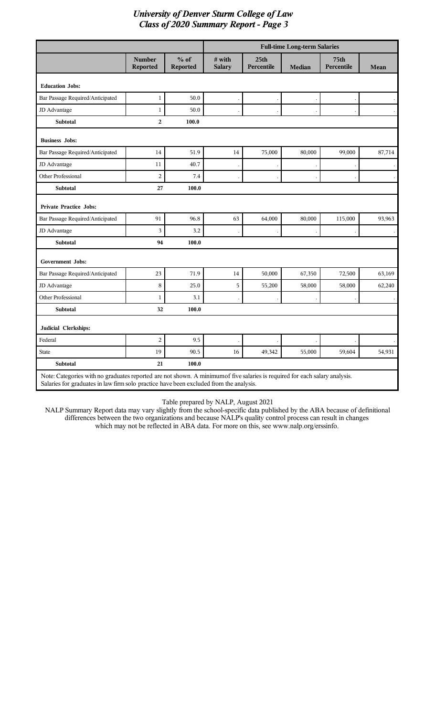|                                                                                                                                                                                                                       |                                  |                    |                         |                                | <b>Full-time Long-term Salaries</b> |                                  |        |
|-----------------------------------------------------------------------------------------------------------------------------------------------------------------------------------------------------------------------|----------------------------------|--------------------|-------------------------|--------------------------------|-------------------------------------|----------------------------------|--------|
|                                                                                                                                                                                                                       | <b>Number</b><br><b>Reported</b> | $%$ of<br>Reported | # with<br><b>Salary</b> | 25 <sub>th</sub><br>Percentile | <b>Median</b>                       | <b>75th</b><br><b>Percentile</b> | Mean   |
| <b>Education Jobs:</b>                                                                                                                                                                                                |                                  |                    |                         |                                |                                     |                                  |        |
| Bar Passage Required/Anticipated                                                                                                                                                                                      | $\mathbf 1$                      | 50.0               |                         |                                |                                     |                                  |        |
| JD Advantage                                                                                                                                                                                                          | $\mathbf{1}$                     | 50.0               |                         |                                |                                     |                                  |        |
| <b>Subtotal</b>                                                                                                                                                                                                       | $\overline{a}$                   | 100.0              |                         |                                |                                     |                                  |        |
| <b>Business Jobs:</b>                                                                                                                                                                                                 |                                  |                    |                         |                                |                                     |                                  |        |
| Bar Passage Required/Anticipated                                                                                                                                                                                      | 14                               | 51.9               | 14                      | 75,000                         | 80,000                              | 99,000                           | 87,714 |
| JD Advantage                                                                                                                                                                                                          | 11                               | 40.7               |                         |                                |                                     |                                  |        |
| <b>Other Professional</b>                                                                                                                                                                                             | $\boldsymbol{2}$                 | 7.4                |                         |                                |                                     |                                  |        |
| Subtotal                                                                                                                                                                                                              | 27                               | 100.0              |                         |                                |                                     |                                  |        |
| <b>Private Practice Jobs:</b>                                                                                                                                                                                         |                                  |                    |                         |                                |                                     |                                  |        |
| Bar Passage Required/Anticipated                                                                                                                                                                                      | 91                               | 96.8               | 63                      | 64,000                         | 80,000                              | 115,000                          | 93,963 |
| JD Advantage                                                                                                                                                                                                          | $\mathfrak{Z}$                   | 3.2                |                         |                                |                                     |                                  |        |
| <b>Subtotal</b>                                                                                                                                                                                                       | 94                               | 100.0              |                         |                                |                                     |                                  |        |
| <b>Government Jobs:</b>                                                                                                                                                                                               |                                  |                    |                         |                                |                                     |                                  |        |
| Bar Passage Required/Anticipated                                                                                                                                                                                      | 23                               | 71.9               | 14                      | 50,000                         | 67,350                              | 72,500                           | 63,169 |
| JD Advantage                                                                                                                                                                                                          | 8                                | 25.0               | 5                       | 55,200                         | 58,000                              | 58,000                           | 62,240 |
| Other Professional                                                                                                                                                                                                    | $\mathbf{1}$                     | 3.1                |                         |                                |                                     |                                  |        |
| Subtotal                                                                                                                                                                                                              | 32                               | 100.0              |                         |                                |                                     |                                  |        |
| Judicial Clerkships:                                                                                                                                                                                                  |                                  |                    |                         |                                |                                     |                                  |        |
| Federal                                                                                                                                                                                                               | $\boldsymbol{2}$                 | 9.5                |                         |                                |                                     |                                  |        |
| <b>State</b>                                                                                                                                                                                                          | 19                               | 90.5               | 16                      | 49,342                         | 55,000                              | 59,604                           | 54,931 |
| <b>Subtotal</b>                                                                                                                                                                                                       | 21                               | 100.0              |                         |                                |                                     |                                  |        |
| Note: Categories with no graduates reported are not shown. A minimum of five salaries is required for each salary analysis.<br>Salaries for graduates in law firm solo practice have been excluded from the analysis. |                                  |                    |                         |                                |                                     |                                  |        |

Table prepared by NALP, August 2021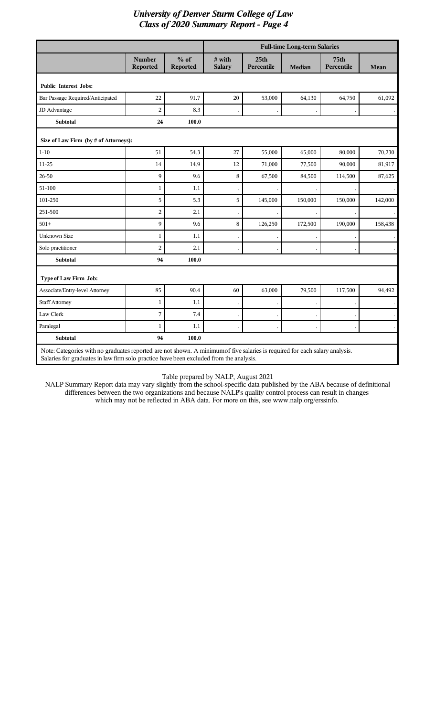|                                                                                                                                                                                                                      |                                  |                    |                         |                                | <b>Full-time Long-term Salaries</b> |                                |             |  |
|----------------------------------------------------------------------------------------------------------------------------------------------------------------------------------------------------------------------|----------------------------------|--------------------|-------------------------|--------------------------------|-------------------------------------|--------------------------------|-------------|--|
|                                                                                                                                                                                                                      | <b>Number</b><br><b>Reported</b> | $%$ of<br>Reported | # with<br><b>Salary</b> | 25 <sub>th</sub><br>Percentile | <b>Median</b>                       | 75 <sub>th</sub><br>Percentile | <b>Mean</b> |  |
| <b>Public Interest Jobs:</b>                                                                                                                                                                                         |                                  |                    |                         |                                |                                     |                                |             |  |
| Bar Passage Required/Anticipated                                                                                                                                                                                     | 22                               | 91.7               | $20\,$                  | 53,000                         | 64,130                              | 64,750                         | 61,092      |  |
| JD Advantage                                                                                                                                                                                                         | $\overline{c}$                   | 8.3                |                         |                                |                                     |                                | $\bullet$   |  |
| <b>Subtotal</b>                                                                                                                                                                                                      | 24                               | 100.0              |                         |                                |                                     |                                |             |  |
| Size of Law Firm (by # of Attorneys):                                                                                                                                                                                |                                  |                    |                         |                                |                                     |                                |             |  |
| $1 - 10$                                                                                                                                                                                                             | 51                               | 54.3               | 27                      | 55,000                         | 65,000                              | 80,000                         | 70,230      |  |
| 11-25                                                                                                                                                                                                                | 14                               | 14.9               | 12                      | 71,000                         | 77,500                              | 90,000                         | 81,917      |  |
| 26-50                                                                                                                                                                                                                | 9                                | 9.6                | 8                       | 67,500                         | 84,500                              | 114,500                        | 87,625      |  |
| 51-100                                                                                                                                                                                                               | $\mathbf{1}$                     | 1.1                |                         |                                |                                     |                                |             |  |
| 101-250                                                                                                                                                                                                              | 5                                | 5.3                | 5                       | 145,000                        | 150,000                             | 150,000                        | 142,000     |  |
| 251-500                                                                                                                                                                                                              | $\overline{2}$                   | 2.1                |                         |                                |                                     |                                |             |  |
| $501+$                                                                                                                                                                                                               | 9                                | 9.6                | 8                       | 126,250                        | 172,500                             | 190,000                        | 158,438     |  |
| <b>Unknown Size</b>                                                                                                                                                                                                  | $\mathbf{1}$                     | 1.1                |                         |                                |                                     |                                |             |  |
| Solo practitioner                                                                                                                                                                                                    | $\overline{2}$                   | 2.1                |                         |                                |                                     |                                |             |  |
| <b>Subtotal</b>                                                                                                                                                                                                      | 94                               | 100.0              |                         |                                |                                     |                                |             |  |
| Type of Law Firm Job:                                                                                                                                                                                                |                                  |                    |                         |                                |                                     |                                |             |  |
| Associate/Entry-level Attorney                                                                                                                                                                                       | 85                               | 90.4               | 60                      | 63,000                         | 79,500                              | 117,500                        | 94,492      |  |
| <b>Staff Attorney</b>                                                                                                                                                                                                | $\mathbf{1}$                     | 1.1                |                         |                                |                                     |                                |             |  |
| Law Clerk                                                                                                                                                                                                            | 7                                | 7.4                |                         |                                |                                     |                                |             |  |
| Paralegal                                                                                                                                                                                                            | $\mathbf{1}$                     | 1.1                |                         |                                |                                     |                                |             |  |
| Subtotal                                                                                                                                                                                                             | 94                               | 100.0              |                         |                                |                                     |                                |             |  |
| Note: Categories with no graduates reported are not shown. A minimumof five salaries is required for each salary analysis.<br>Salaries for graduates in law firm solo practice have been excluded from the analysis. |                                  |                    |                         |                                |                                     |                                |             |  |

Table prepared by NALP, August 2021

I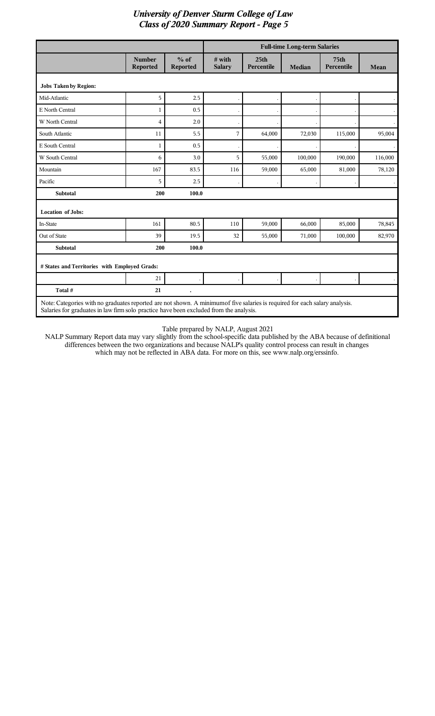|                                                                                                                             |                           |                           |                         |                                | <b>Full-time Long-term Salaries</b> |                           |                      |
|-----------------------------------------------------------------------------------------------------------------------------|---------------------------|---------------------------|-------------------------|--------------------------------|-------------------------------------|---------------------------|----------------------|
|                                                                                                                             | <b>Number</b><br>Reported | $%$ of<br><b>Reported</b> | # with<br><b>Salary</b> | 25 <sub>th</sub><br>Percentile | <b>Median</b>                       | <b>75th</b><br>Percentile | Mean                 |
| <b>Jobs Taken by Region:</b>                                                                                                |                           |                           |                         |                                |                                     |                           |                      |
| Mid-Atlantic                                                                                                                | 5                         | 2.5                       |                         |                                |                                     |                           | $\ddot{\phantom{a}}$ |
| E North Central                                                                                                             | 1                         | 0.5                       |                         |                                |                                     |                           |                      |
| W North Central                                                                                                             | $\overline{\mathbf{4}}$   | 2.0                       |                         |                                |                                     |                           |                      |
| South Atlantic                                                                                                              | 11                        | 5.5                       | 7                       | 64,000                         | 72,030                              | 115,000                   | 95,004               |
| E South Central                                                                                                             | 1                         | 0.5                       |                         |                                |                                     |                           |                      |
| W South Central                                                                                                             | 6                         | 3.0                       | 5                       | 55,000                         | 100,000                             | 190,000                   | 116,000              |
| Mountain                                                                                                                    | 167                       | 83.5                      | 116                     | 59,000                         | 65,000                              | 81,000                    | 78,120               |
| Pacific                                                                                                                     | 5                         | 2.5                       |                         |                                |                                     |                           |                      |
| <b>Subtotal</b>                                                                                                             | 200                       | 100.0                     |                         |                                |                                     |                           |                      |
| <b>Location of Jobs:</b>                                                                                                    |                           |                           |                         |                                |                                     |                           |                      |
| In-State                                                                                                                    | 161                       | 80.5                      | 110                     | 59,000                         | 66,000                              | 85,000                    | 78,845               |
| Out of State                                                                                                                | 39                        | 19.5                      | 32                      | 55,000                         | 71,000                              | 100,000                   | 82,970               |
| <b>Subtotal</b>                                                                                                             | 200                       | 100.0                     |                         |                                |                                     |                           |                      |
| # States and Territories with Employed Grads:                                                                               |                           |                           |                         |                                |                                     |                           |                      |
|                                                                                                                             | 21                        |                           |                         |                                |                                     |                           |                      |
| Total #                                                                                                                     | 21                        | $\cdot$                   |                         |                                |                                     |                           |                      |
| Note: Categories with no graduates reported are not shown. A minimum of five salaries is required for each salary analysis. |                           |                           |                         |                                |                                     |                           |                      |

Salaries for graduates in law firm solo practice have been excluded from the analysis.

I

Table prepared by NALP, August 2021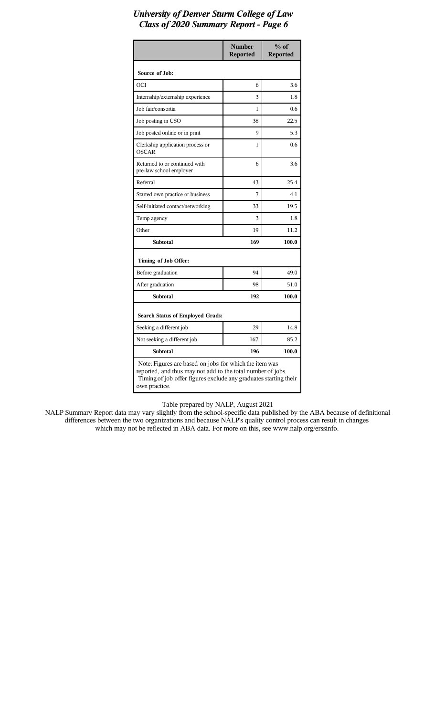|                                                                                                                                                                                                            | <b>Number</b><br><b>Reported</b> | $%$ of<br><b>Reported</b> |  |  |  |
|------------------------------------------------------------------------------------------------------------------------------------------------------------------------------------------------------------|----------------------------------|---------------------------|--|--|--|
| Source of Job:                                                                                                                                                                                             |                                  |                           |  |  |  |
| OCI                                                                                                                                                                                                        | 6                                | 3.6                       |  |  |  |
| Internship/externship experience                                                                                                                                                                           | 3                                | 1.8                       |  |  |  |
| Job fair/consortia                                                                                                                                                                                         | 1                                | 0.6                       |  |  |  |
| Job posting in CSO                                                                                                                                                                                         | 38                               | 22.5                      |  |  |  |
| Job posted online or in print                                                                                                                                                                              | 9                                | 5.3                       |  |  |  |
| Clerkship application process or<br><b>OSCAR</b>                                                                                                                                                           | 1                                | 0.6                       |  |  |  |
| Returned to or continued with<br>pre-law school employer                                                                                                                                                   | 6                                | 3.6                       |  |  |  |
| Referral                                                                                                                                                                                                   | 43                               | 25.4                      |  |  |  |
| Started own practice or business                                                                                                                                                                           | 7                                | 4.1                       |  |  |  |
| Self-initiated contact/networking                                                                                                                                                                          | 33                               | 19.5                      |  |  |  |
| Temp agency                                                                                                                                                                                                | 3                                | 1.8                       |  |  |  |
| Other                                                                                                                                                                                                      | 19                               | 11.2                      |  |  |  |
| Subtotal                                                                                                                                                                                                   | 169                              | 100.0                     |  |  |  |
| Timing of Job Offer:                                                                                                                                                                                       |                                  |                           |  |  |  |
| Before graduation                                                                                                                                                                                          | 94                               | 49.0                      |  |  |  |
| After graduation                                                                                                                                                                                           | 98                               | 51.0                      |  |  |  |
| <b>Subtotal</b>                                                                                                                                                                                            | 192                              | 100.0                     |  |  |  |
| <b>Search Status of Employed Grads:</b>                                                                                                                                                                    |                                  |                           |  |  |  |
| Seeking a different job                                                                                                                                                                                    | 29                               | 14.8                      |  |  |  |
| Not seeking a different job                                                                                                                                                                                | 167                              | 85.2                      |  |  |  |
| <b>Subtotal</b>                                                                                                                                                                                            | 196                              | 100.0                     |  |  |  |
| Note: Figures are based on jobs for which the item was<br>reported, and thus may not add to the total number of jobs.<br>Timing of job offer figures exclude any graduates starting their<br>own practice. |                                  |                           |  |  |  |

Table prepared by NALP, August 2021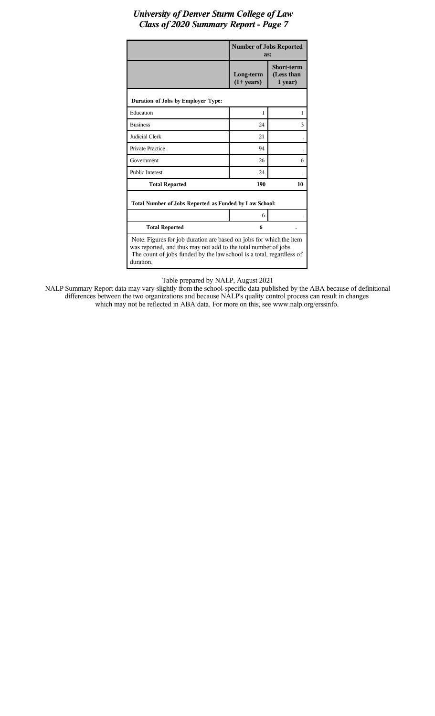|                                                                                                                                                                                                                             | <b>Number of Jobs Reported</b><br>as: |                                            |  |  |  |
|-----------------------------------------------------------------------------------------------------------------------------------------------------------------------------------------------------------------------------|---------------------------------------|--------------------------------------------|--|--|--|
|                                                                                                                                                                                                                             | Long-term<br>$(1+ \text{years})$      | <b>Short-term</b><br>(Less than<br>1 year) |  |  |  |
| Duration of Jobs by Employer Type:                                                                                                                                                                                          |                                       |                                            |  |  |  |
| Education                                                                                                                                                                                                                   | 1                                     | 1                                          |  |  |  |
| <b>Business</b>                                                                                                                                                                                                             | 24                                    | 3                                          |  |  |  |
| <b>Judicial Clerk</b>                                                                                                                                                                                                       | 21                                    |                                            |  |  |  |
| Private Practice                                                                                                                                                                                                            | 94                                    |                                            |  |  |  |
| Government                                                                                                                                                                                                                  | 26                                    | 6                                          |  |  |  |
| <b>Public Interest</b>                                                                                                                                                                                                      | 24                                    |                                            |  |  |  |
| <b>Total Reported</b>                                                                                                                                                                                                       | 190                                   | 10                                         |  |  |  |
| Total Number of Jobs Reported as Funded by Law School:                                                                                                                                                                      |                                       |                                            |  |  |  |
|                                                                                                                                                                                                                             | 6                                     |                                            |  |  |  |
| <b>Total Reported</b>                                                                                                                                                                                                       | 6                                     |                                            |  |  |  |
| Note: Figures for job duration are based on jobs for which the item<br>was reported, and thus may not add to the total number of jobs.<br>The count of jobs funded by the law school is a total, regardless of<br>duration. |                                       |                                            |  |  |  |

Table prepared by NALP, August 2021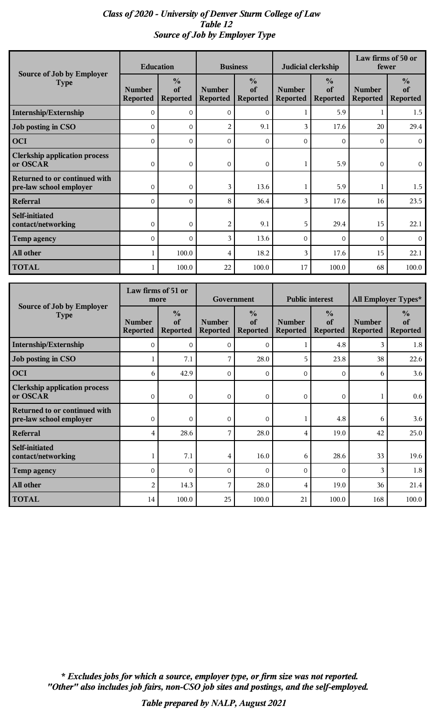# *Class of 2020 - University of Denver Sturm College of Law Table 12 Source of Job by Employer Type*

|                                                          | <b>Education</b>                 |                                        | <b>Business</b>                  |                                        | Judicial clerkship               |                                        | Law firms of 50 or<br>fewer      |                                        |
|----------------------------------------------------------|----------------------------------|----------------------------------------|----------------------------------|----------------------------------------|----------------------------------|----------------------------------------|----------------------------------|----------------------------------------|
| Source of Job by Employer<br><b>Type</b>                 | <b>Number</b><br><b>Reported</b> | $\frac{0}{0}$<br>of<br><b>Reported</b> | <b>Number</b><br><b>Reported</b> | $\frac{0}{0}$<br>of<br><b>Reported</b> | <b>Number</b><br><b>Reported</b> | $\frac{0}{0}$<br>of<br><b>Reported</b> | <b>Number</b><br><b>Reported</b> | $\frac{0}{0}$<br>of<br><b>Reported</b> |
| Internship/Externship                                    | $\Omega$                         | $\Omega$                               | $\Omega$                         | $\Omega$                               | 1                                | 5.9                                    |                                  | 1.5                                    |
| Job posting in CSO                                       | $\Omega$                         | $\mathbf{O}$                           | $\overline{2}$                   | 9.1                                    | 3                                | 17.6                                   | 20                               | 29.4                                   |
| <b>OCI</b>                                               | $\mathbf{0}$                     | $\mathbf{O}$                           | $\mathbf{0}$                     | $\overline{0}$                         | $\overline{0}$                   | $\overline{0}$                         | $\Omega$                         | $\overline{0}$                         |
| <b>Clerkship application process</b><br>or OSCAR         | 0                                | 0                                      | $\mathbf 0$                      | $\overline{0}$                         | 1                                | 5.9                                    | 0                                | $\overline{0}$                         |
| Returned to or continued with<br>pre-law school employer | $\mathbf{O}$                     | $\mathbf{0}$                           | 3                                | 13.6                                   | 1                                | 5.9                                    |                                  | 1.5                                    |
| <b>Referral</b>                                          | $\Omega$                         | $\mathbf{O}$                           | 8                                | 36.4                                   | 3                                | 17.6                                   | 16                               | 23.5                                   |
| Self-initiated<br>contact/networking                     | $\mathbf{0}$                     | $\mathbf{0}$                           | $\overline{2}$                   | 9.1                                    | 5                                | 29.4                                   | 15                               | 22.1                                   |
| <b>Temp agency</b>                                       | $\Omega$                         | $\Omega$                               | 3                                | 13.6                                   | $\Omega$                         | $\Omega$                               | $\Omega$                         | $\overline{0}$                         |
| All other                                                |                                  | 100.0                                  | 4                                | 18.2                                   | 3                                | 17.6                                   | 15                               | 22.1                                   |
| <b>TOTAL</b>                                             |                                  | 100.0                                  | 22                               | 100.0                                  | 17                               | 100.0                                  | 68                               | 100.0                                  |

|                                                          | Law firms of 51 or<br>more       |                                        | Government                       |                                        | <b>Public interest</b>           |                                        | All Employer Types*              |                                        |
|----------------------------------------------------------|----------------------------------|----------------------------------------|----------------------------------|----------------------------------------|----------------------------------|----------------------------------------|----------------------------------|----------------------------------------|
| Source of Job by Employer<br><b>Type</b>                 | <b>Number</b><br><b>Reported</b> | $\frac{0}{0}$<br>of<br><b>Reported</b> | <b>Number</b><br><b>Reported</b> | $\frac{0}{0}$<br>of<br><b>Reported</b> | <b>Number</b><br><b>Reported</b> | $\frac{0}{0}$<br>of<br><b>Reported</b> | <b>Number</b><br><b>Reported</b> | $\frac{0}{0}$<br>of<br><b>Reported</b> |
| Internship/Externship                                    | $\Omega$                         | $\Omega$                               | 0                                | $\mathbf{O}$                           |                                  | 4.8                                    | 3                                | 1.8                                    |
| Job posting in CSO                                       |                                  | 7.1                                    | 7                                | 28.0                                   | 5                                | 23.8                                   | 38                               | 22.6                                   |
| <b>OCI</b>                                               | 6                                | 42.9                                   | 0                                | $\mathbf{O}$                           | $\Omega$                         | $\mathbf{O}$                           | 6                                | 3.6                                    |
| <b>Clerkship application process</b><br>or OSCAR         | $\overline{0}$                   | $\mathbf{O}$                           | $\overline{0}$                   | $\overline{0}$                         | $\overline{0}$                   | $\overline{O}$                         |                                  | 0.6                                    |
| Returned to or continued with<br>pre-law school employer | $\overline{0}$                   | $\mathbf{O}$                           | 0                                | 0                                      | 1                                | 4.8                                    | 6                                | 3.6                                    |
| Referral                                                 | 4                                | 28.6                                   | 7                                | 28.0                                   | 4                                | 19.0                                   | 42                               | 25.0                                   |
| Self-initiated<br>contact/networking                     |                                  | 7.1                                    | 4                                | 16.0                                   | 6                                | 28.6                                   | 33                               | 19.6                                   |
| Temp agency                                              | $\Omega$                         | $\Omega$                               | $\Omega$                         | $\mathbf{O}$                           | $\Omega$                         | $\Omega$                               | 3                                | 1.8                                    |
| All other                                                | 2                                | 14.3                                   | 7                                | 28.0                                   | 4                                | 19.0                                   | 36                               | 21.4                                   |
| <b>TOTAL</b>                                             | 14                               | 100.0                                  | 25                               | 100.0                                  | 21                               | 100.0                                  | 168                              | 100.0                                  |

*"Other" also includes job fairs, non-CSO job sites and postings, and the self-employed. \* Excludes jobs for which a source, employer type, or firm size was not reported.*

*Table prepared by NALP, August 2021*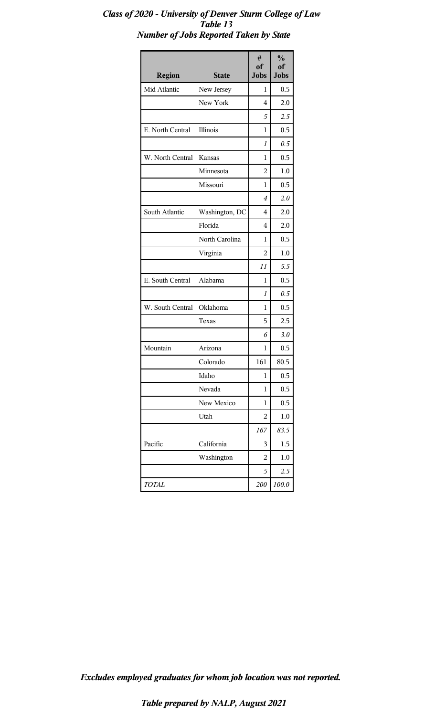| <b>Region</b>    | <b>State</b>   | #<br>of<br><b>Jobs</b> | $\frac{0}{0}$<br>of<br><b>Jobs</b> |
|------------------|----------------|------------------------|------------------------------------|
| Mid Atlantic     | New Jersey     | 1                      | 0.5                                |
|                  | New York       | 4                      | 2.0                                |
|                  |                | 5                      | 2.5                                |
| E. North Central | Illinois       | 1                      | 0.5                                |
|                  |                | 1                      | 0.5                                |
| W. North Central | Kansas         | 1                      | 0.5                                |
|                  | Minnesota      | 2                      | 1.0                                |
|                  | Missouri       | 1                      | 0.5                                |
|                  |                | 4                      | 2.0                                |
| South Atlantic   | Washington, DC | 4                      | 2.0                                |
|                  | Florida        | 4                      | 2.0                                |
|                  | North Carolina | 1                      | 0.5                                |
|                  | Virginia       | 2                      | 1.0                                |
|                  |                | 11                     | 5.5                                |
| E. South Central | Alabama        | 1                      | 0.5                                |
|                  |                | 1                      | 0.5                                |
| W. South Central | Oklahoma       | 1                      | 0.5                                |
|                  | Texas          | 5                      | 2.5                                |
|                  |                | 6                      | 3.0                                |
| Mountain         | Arizona        | 1                      | 0.5                                |
|                  | Colorado       | 161                    | 80.5                               |
|                  | Idaho          | 1                      | 0.5                                |
|                  | Nevada         | 1                      | 0.5                                |
|                  | New Mexico     | 1                      | 0.5                                |
|                  | Utah           | 2                      | 1.0                                |
|                  |                | 167                    | 83.5                               |
| Pacific          | California     | 3                      | 1.5                                |
|                  | Washington     | 2                      | 1.0                                |
|                  |                | 5                      | 2.5                                |
| <b>TOTAL</b>     |                | 200                    | 100.0                              |

# *Class of 2020 - University of Denver Sturm College of Law Table 13 Number of Jobs Reported Taken by State*

*Excludes employed graduates for whom job location was not reported.*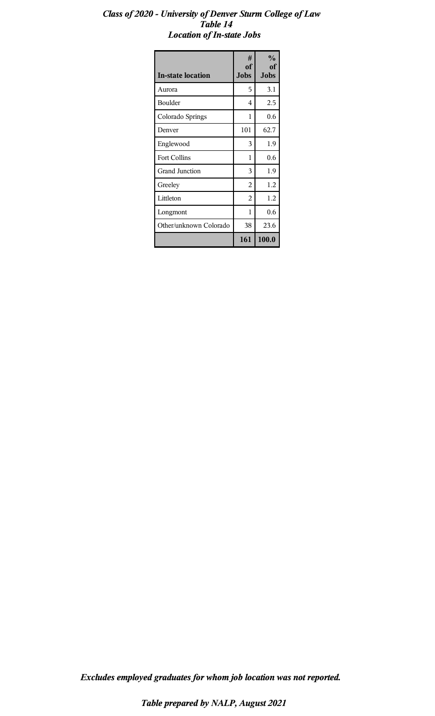#### *Class of 2020 - University of Denver Sturm College of Law Table 14 Location of In-state Jobs*

| <b>In-state location</b> | #<br>of<br><b>Jobs</b> | $\frac{0}{0}$<br>of<br>Jobs |
|--------------------------|------------------------|-----------------------------|
| Aurora                   | 5                      | 3.1                         |
| Boulder                  | 4                      | 2.5                         |
| Colorado Springs         | 1                      | 0.6                         |
| Denver                   | 101                    | 62.7                        |
| Englewood                | 3                      | 1.9                         |
| <b>Fort Collins</b>      | 1                      | 0.6                         |
| <b>Grand Junction</b>    | 3                      | 1.9                         |
| Greeley                  | 2                      | 1.2                         |
| Littleton                | 2                      | 1.2                         |
| Longmont                 | 1                      | 0.6                         |
| Other/unknown Colorado   | 38                     | 23.6                        |
|                          | 161                    | 100.0                       |

*Excludes employed graduates for whom job location was not reported.*